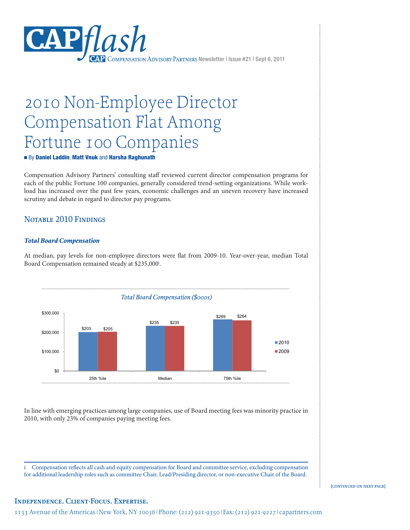

# 2010 Non-Employee Director Compensation Flat Among Fortune 100 Companies

# ■ By Daniel Laddin, Matt Vnuk and Harsha Raghunath DRAFT – 8 / 17 / 2011

Compensation Advisory Partners' consulting staff reviewed current director compensation programs for each of the public Fortune 100 companies, generally considered trend-setting organizations. While workload has increased over the past few years, economic challenges and an uneven recovery have increased scrutiny and debate in regard to director pay programs.

#### Notable 2010 Findings organizations. While workload has increased over the past few years, economic challenges and an programs for each of the public Fortune 100 companies, generally considered trend-setting

# **Total Board Compensation**

At median, pay levels for non-employee directors were flat from 2009-10. Year-over-year, median Total Board Compensation remained steady at \$235,000<sup>i</sup>.  $A$  median, pay levels for non-employee directors were flat from 2009-10. Year-over-year-over-year-over-year, median, median, median, median, median, median, median, median, median, median, median, median, median, median,



In line with emerging practices among large companies, use of Board meeting fees was minority practice in 2010, with only 23% of companies paying meeting fees.

i Compensation reflects all cash and equity compensation for Board and committee service, excluding compensation for additional leadership roles such as committee Chair, Lead/Presiding director, or non-executive Chair of the Board.

[CONTINUED ON NEXT PAGE]

# **Independence. Client-Focus. Expertise.**

1133 Avenue of the Americas | New York, NY 10036 | Phone: (212) 921-9350 | Fax: (212) 921-9227 | capartners.com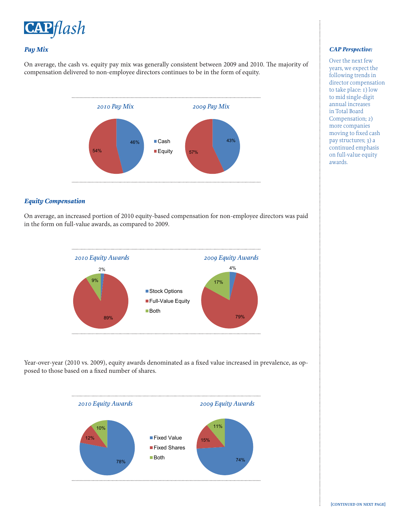

# *Pay Mix*

On average, the cash vs. equity pay mix was generally consistent between 2009 and 2010. The majority of compensation delivered to non-employee directors continues to be in the form of equity.



# *Equity Compensation*

On average, an increased portion of 2010 equity-based compensation for non-employee directors was paid in the form on full-value awards, as compared to  $2009$ .



Year-over-year (2010 vs. 2009), equity awards denominated as a fixed value increased in prevalence, as opposed to those based on a fixed number of shares.



#### *CAP Perspective:*

Over the next few years, we expect the following trends in director compensation to take place: 1) low to mid single-digit annual increases in Total Board Compensation; 2) more companies moving to fixed cash pay structures; 3) a continued emphasis on full-value equity awards.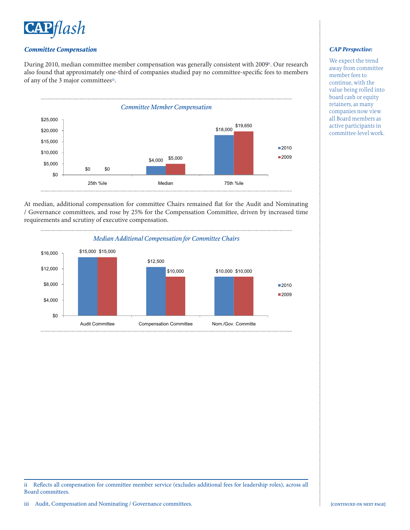

# *Committee Compensation*

During 2010, median committee member compensation was generally consistent with 2009<sup>ii</sup>. Our research also found that approximately one-third of companies studied pay no committee-specific fees to members of any of the 3 major committees<sup>iii</sup>.  $f$  of any of  $\frac{3}{2}$  committees  $\frac{3}{2}$ research also found that approximately one-third committees studied pay no committees studied pay no committees  $\mathbb{R}^n$ .



At median, additional compensation for committee Chairs remained flat for the Audit and Nominating / Governance committees, and rose by 25% for the Compensation Committee, driven by increased time requirements and scrutiny of executive compensation.



ii Reflects all compensation for committee member service (excludes additional fees for leadership roles), across all Board committees.

# *CAP Perspective:*

We expect the trend away from committee member fees to continue, with the value being rolled into board cash or equity retainers, as many companies now view all Board members as active participants in committee-level work.

ŧ